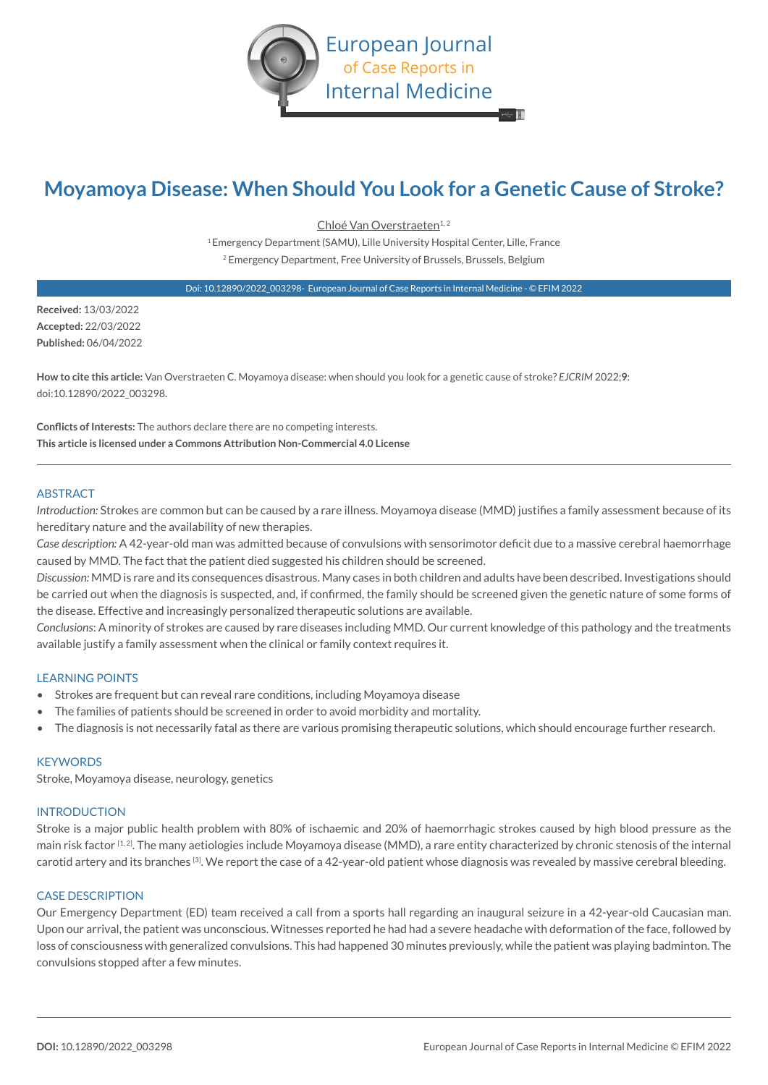

# **Moyamoya Disease: When Should You Look for a Genetic Cause of Stroke?**

Chloé Van Overstraeten<sup>1,2</sup> 1 Emergency Department (SAMU), Lille University Hospital Center, Lille, France 2 Emergency Department, Free University of Brussels, Brussels, Belgium

Doi: 10.12890/2022\_003298- European Journal of Case Reports in Internal Medicine - © EFIM 2022

**Received:** 13/03/2022 **Accepted:** 22/03/2022 **Published:** 06/04/2022

**How to cite this article:** Van Overstraeten C. Moyamoya disease: when should you look for a genetic cause of stroke? *EJCRIM* 2022;**9**: doi:10.12890/2022\_003298.

**Conflicts of Interests:** The authors declare there are no competing interests. **This article is licensed under a Commons Attribution Non-Commercial 4.0 License**

## **ARSTRACT**

*Introduction:* Strokes are common but can be caused by a rare illness. Moyamoya disease (MMD) justifies a family assessment because of its hereditary nature and the availability of new therapies.

*Case description:* A 42-year-old man was admitted because of convulsions with sensorimotor deficit due to a massive cerebral haemorrhage caused by MMD. The fact that the patient died suggested his children should be screened.

*Discussion:* MMD is rare and its consequences disastrous. Many cases in both children and adults have been described. Investigations should be carried out when the diagnosis is suspected, and, if confirmed, the family should be screened given the genetic nature of some forms of the disease. Effective and increasingly personalized therapeutic solutions are available.

*Conclusions*: A minority of strokes are caused by rare diseases including MMD. Our current knowledge of this pathology and the treatments available justify a family assessment when the clinical or family context requires it.

# LEARNING POINTS

- Strokes are frequent but can reveal rare conditions, including Moyamoya disease
- The families of patients should be screened in order to avoid morbidity and mortality.
- The diagnosis is not necessarily fatal as there are various promising therapeutic solutions, which should encourage further research.

#### **KEYWORDS**

Stroke, Moyamoya disease, neurology, genetics

## INTRODUCTION

Stroke is a major public health problem with 80% of ischaemic and 20% of haemorrhagic strokes caused by high blood pressure as the main risk factor [1,2]. The many aetiologies include Moyamoya disease (MMD), a rare entity characterized by chronic stenosis of the internal carotid artery and its branches [3]. We report the case of a 42-year-old patient whose diagnosis was revealed by massive cerebral bleeding.

# CASE DESCRIPTION

Our Emergency Department (ED) team received a call from a sports hall regarding an inaugural seizure in a 42-year-old Caucasian man. Upon our arrival, the patient was unconscious. Witnesses reported he had had a severe headache with deformation of the face, followed by loss of consciousness with generalized convulsions. This had happened 30 minutes previously, while the patient was playing badminton. The convulsions stopped after a few minutes.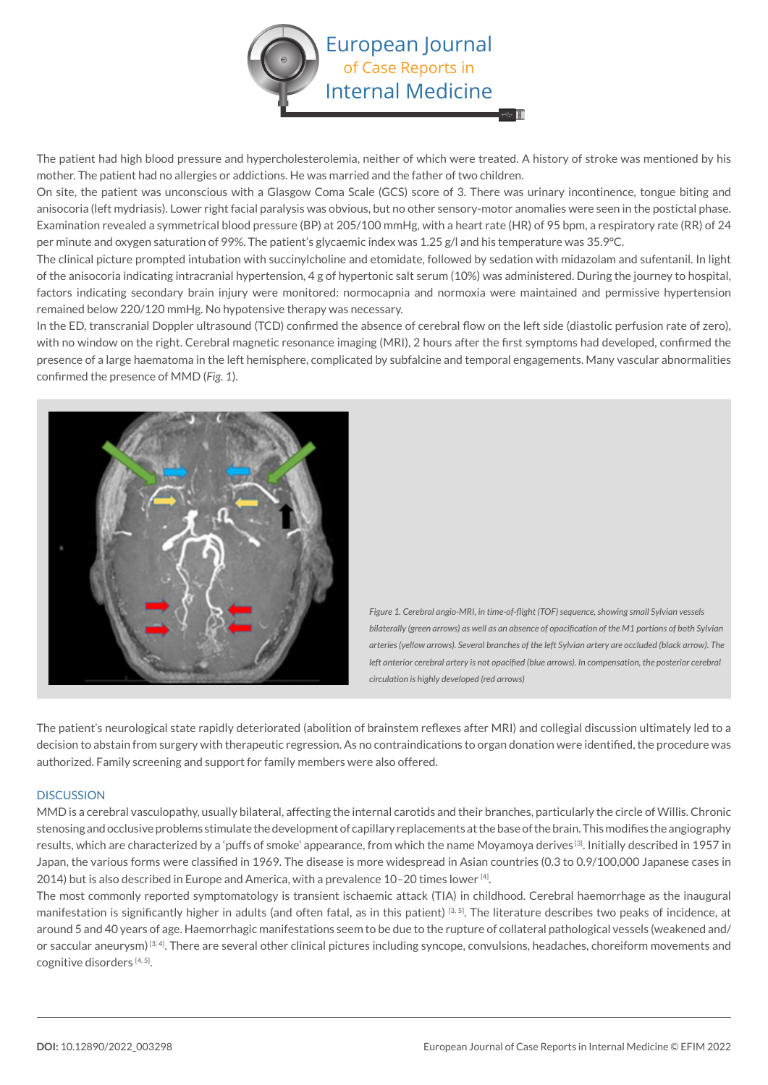

The patient had high blood pressure and hypercholesterolemia, neither of which were treated. A history of stroke was mentioned by his mother. The patient had no allergies or addictions. He was married and the father of two children.

On site, the patient was unconscious with a Glasgow Coma Scale (GCS) score of 3. There was urinary incontinence, tongue biting and anisocoria (left mydriasis). Lower right facial paralysis was obvious, but no other sensory-motor anomalies were seen in the postictal phase. Examination revealed a symmetrical blood pressure (BP) at 205/100 mmHg, with a heart rate (HR) of 95 bpm, a respiratory rate (RR) of 24 per minute and oxygen saturation of 99%. The patient's glycaemic index was 1.25 g/l and his temperature was 35.9°C.

The clinical picture prompted intubation with succinylcholine and etomidate, followed by sedation with midazolam and sufentanil. In light of the anisocoria indicating intracranial hypertension, 4 g of hypertonic salt serum (10%) was administered. During the journey to hospital, factors indicating secondary brain injury were monitored: normocapnia and normoxia were maintained and permissive hypertension remained below 220/120 mmHg. No hypotensive therapy was necessary.

In the ED, transcranial Doppler ultrasound (TCD) confirmed the absence of cerebral flow on the left side (diastolic perfusion rate of zero), with no window on the right. Cerebral magnetic resonance imaging (MRI), 2 hours after the first symptoms had developed, confirmed the presence of a large haematoma in the left hemisphere, complicated by subfalcine and temporal engagements. Many vascular abnormalities confirmed the presence of MMD (*Fig. 1*).



*Figure 1. Cerebral angio-MRI, in time-of-flight (TOF) sequence, showing small Sylvian vessels bilaterally (green arrows) as well as an absence of opacification of the M1 portions of both Sylvian arteries (yellow arrows). Several branches of the left Sylvian artery are occluded (black arrow). The left anterior cerebral artery is not opacified (blue arrows). In compensation, the posterior cerebral circulation is highly developed (red arrows)*

The patient's neurological state rapidly deteriorated (abolition of brainstem reflexes after MRI) and collegial discussion ultimately led to a decision to abstain from surgery with therapeutic regression. As no contraindications to organ donation were identified, the procedure was authorized. Family screening and support for family members were also offered.

# **DISCUSSION**

MMD is a cerebral vasculopathy, usually bilateral, affecting the internal carotids and their branches, particularly the circle of Willis. Chronic stenosing and occlusive problems stimulate the development of capillary replacements at the base of the brain. This modifies the angiography results, which are characterized by a 'puffs of smoke' appearance, from which the name Moyamoya derives [3]. Initially described in 1957 in Japan, the various forms were classified in 1969. The disease is more widespread in Asian countries (0.3 to 0.9/100,000 Japanese cases in 2014) but is also described in Europe and America, with a prevalence 10–20 times lower [4].

The most commonly reported symptomatology is transient ischaemic attack (TIA) in childhood. Cerebral haemorrhage as the inaugural manifestation is significantly higher in adults (and often fatal, as in this patient)<sup>[3, 5]</sup>. The literature describes two peaks of incidence, at around 5 and 40 years of age. Haemorrhagic manifestations seem to be due to the rupture of collateral pathological vessels (weakened and/ or saccular aneurysm)<sup>[3, 4]</sup>. There are several other clinical pictures including syncope, convulsions, headaches, choreiform movements and cognitive disorders [4, 5].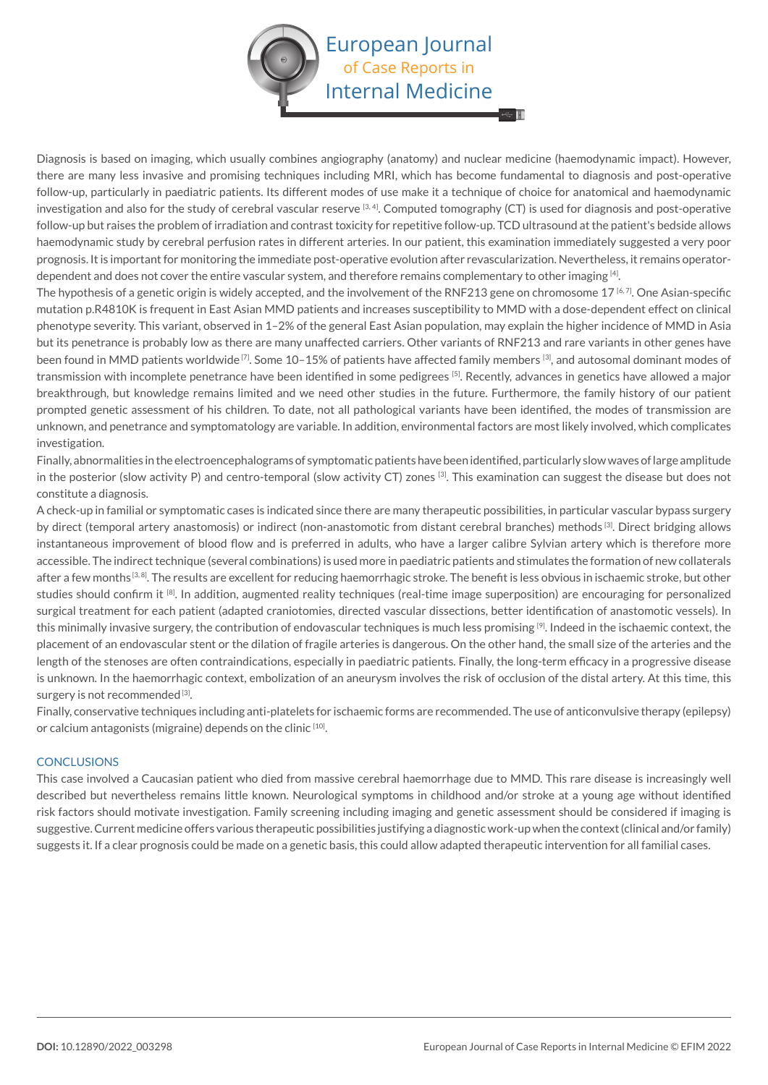

Diagnosis is based on imaging, which usually combines angiography (anatomy) and nuclear medicine (haemodynamic impact). However, there are many less invasive and promising techniques including MRI, which has become fundamental to diagnosis and post-operative follow-up, particularly in paediatric patients. Its different modes of use make it a technique of choice for anatomical and haemodynamic investigation and also for the study of cerebral vascular reserve  $[3, 4]$ . Computed tomography (CT) is used for diagnosis and post-operative follow-up but raises the problem of irradiation and contrast toxicity for repetitive follow-up. TCD ultrasound at the patient's bedside allows haemodynamic study by cerebral perfusion rates in different arteries. In our patient, this examination immediately suggested a very poor prognosis. It is important for monitoring the immediate post-operative evolution after revascularization. Nevertheless, it remains operatordependent and does not cover the entire vascular system, and therefore remains complementary to other imaging [4].

The hypothesis of a genetic origin is widely accepted, and the involvement of the RNF213 gene on chromosome 17 [6, 7]. One Asian-specific mutation p.R4810K is frequent in East Asian MMD patients and increases susceptibility to MMD with a dose-dependent effect on clinical phenotype severity. This variant, observed in 1–2% of the general East Asian population, may explain the higher incidence of MMD in Asia but its penetrance is probably low as there are many unaffected carriers. Other variants of RNF213 and rare variants in other genes have been found in MMD patients worldwide <sup>[7]</sup>. Some 10-15% of patients have affected family members <sup>[3]</sup>, and autosomal dominant modes of transmission with incomplete penetrance have been identified in some pedigrees [5]. Recently, advances in genetics have allowed a major breakthrough, but knowledge remains limited and we need other studies in the future. Furthermore, the family history of our patient prompted genetic assessment of his children. To date, not all pathological variants have been identified, the modes of transmission are unknown, and penetrance and symptomatology are variable. In addition, environmental factors are most likely involved, which complicates investigation.

Finally, abnormalities in the electroencephalograms of symptomatic patients have been identified, particularly slow waves of large amplitude in the posterior (slow activity P) and centro-temporal (slow activity CT) zones [3]. This examination can suggest the disease but does not constitute a diagnosis.

A check-up in familial or symptomatic cases is indicated since there are many therapeutic possibilities, in particular vascular bypass surgery by direct (temporal artery anastomosis) or indirect (non-anastomotic from distant cerebral branches) methods [3]. Direct bridging allows instantaneous improvement of blood flow and is preferred in adults, who have a larger calibre Sylvian artery which is therefore more accessible. The indirect technique (several combinations) is used more in paediatric patients and stimulates the formation of new collaterals after a few months<sup>[3,8]</sup>. The results are excellent for reducing haemorrhagic stroke. The benefit is less obvious in ischaemic stroke, but other studies should confirm it <sup>[8]</sup>. In addition, augmented reality techniques (real-time image superposition) are encouraging for personalized surgical treatment for each patient (adapted craniotomies, directed vascular dissections, better identification of anastomotic vessels). In this minimally invasive surgery, the contribution of endovascular techniques is much less promising [9]. Indeed in the ischaemic context, the placement of an endovascular stent or the dilation of fragile arteries is dangerous. On the other hand, the small size of the arteries and the length of the stenoses are often contraindications, especially in paediatric patients. Finally, the long-term efficacy in a progressive disease is unknown. In the haemorrhagic context, embolization of an aneurysm involves the risk of occlusion of the distal artery. At this time, this surgery is not recommended<sup>[3]</sup>.

Finally, conservative techniques including anti-platelets for ischaemic forms are recommended. The use of anticonvulsive therapy (epilepsy) or calcium antagonists (migraine) depends on the clinic [10].

#### **CONCLUSIONS**

This case involved a Caucasian patient who died from massive cerebral haemorrhage due to MMD. This rare disease is increasingly well described but nevertheless remains little known. Neurological symptoms in childhood and/or stroke at a young age without identified risk factors should motivate investigation. Family screening including imaging and genetic assessment should be considered if imaging is suggestive. Current medicine offers various therapeutic possibilities justifying a diagnostic work-up when the context (clinical and/or family) suggests it. If a clear prognosis could be made on a genetic basis, this could allow adapted therapeutic intervention for all familial cases.